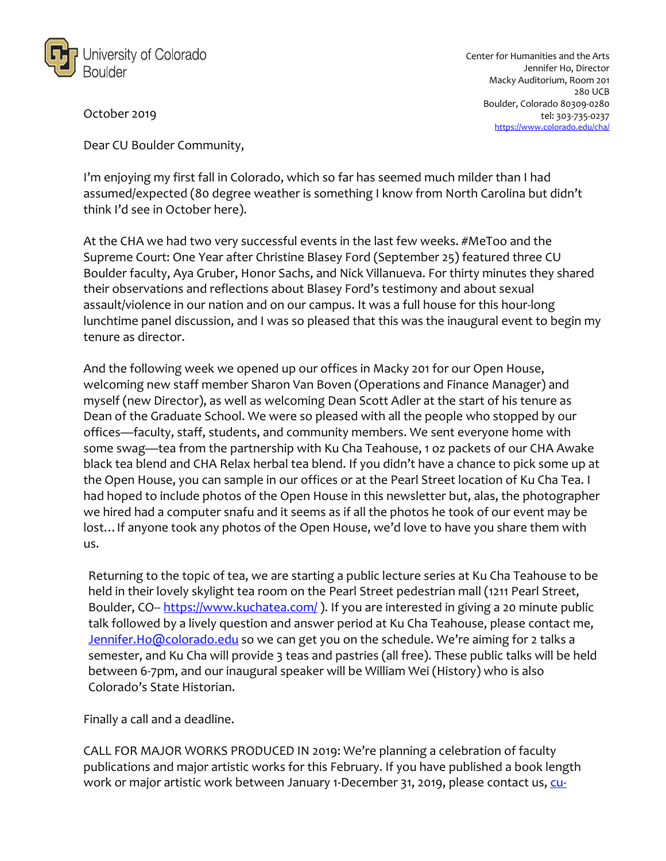

Center for Humanities and the Arts Jennifer Ho, Director Macky Auditorium, Room 201 280 UCB Boulder, Colorado 80309-0280 tel: 303-735-0237 https://www.colorado.edu/cha/

October 2019

Dear CU Boulder Community,

I'm enjoying my first fall in Colorado, which so far has seemed much milder than I had assumed/expected (80 degree weather is something I know from North Carolina but didn't think I'd see in October here).

At the CHA we had two very successful events in the last few weeks. #MeToo and the Supreme Court: One Year after Christine Blasey Ford (September 25) featured three CU Boulder faculty, Aya Gruber, Honor Sachs, and Nick Villanueva. For thirty minutes they shared their observations and reflections about Blasey Ford's testimony and about sexual assault/violence in our nation and on our campus. It was a full house for this hour-long lunchtime panel discussion, and I was so pleased that this was the inaugural event to begin my tenure as director.

And the following week we opened up our offices in Macky 201 for our Open House, welcoming new staff member Sharon Van Boven (Operations and Finance Manager) and myself (new Director), as well as welcoming Dean Scott Adler at the start of his tenure as Dean of the Graduate School. We were so pleased with all the people who stopped by our offices—faculty, staff, students, and community members. We sent everyone home with some swag—tea from the partnership with Ku Cha Teahouse, 1 oz packets of our CHA Awake black tea blend and CHA Relax herbal tea blend. If you didn't have a chance to pick some up at the Open House, you can sample in our offices or at the Pearl Street location of Ku Cha Tea. I had hoped to include photos of the Open House in this newsletter but, alas, the photographer we hired had a computer snafu and it seems as if all the photos he took of our event may be lost…If anyone took any photos of the Open House, we'd love to have you share them with us.

Returning to the topic of tea, we are starting a public lecture series at Ku Cha Teahouse to be held in their lovely skylight tea room on the Pearl Street pedestrian mall (1211 Pearl Street, Boulder, CO-- https://www.kuchatea.com/ ). If you are interested in giving a 20 minute public talk followed by a lively question and answer period at Ku Cha Teahouse, please contact me, Jennifer.Ho@colorado.edu so we can get you on the schedule. We're aiming for 2 talks a semester, and Ku Cha will provide 3 teas and pastries (all free). These public talks will be held between 6-7pm, and our inaugural speaker will be William Wei (History) who is also Colorado's State Historian.

Finally a call and a deadline.

CALL FOR MAJOR WORKS PRODUCED IN 2019: We're planning a celebration of faculty publications and major artistic works for this February. If you have published a book length work or major artistic work between January 1-December 31, 2019, please contact us, cu